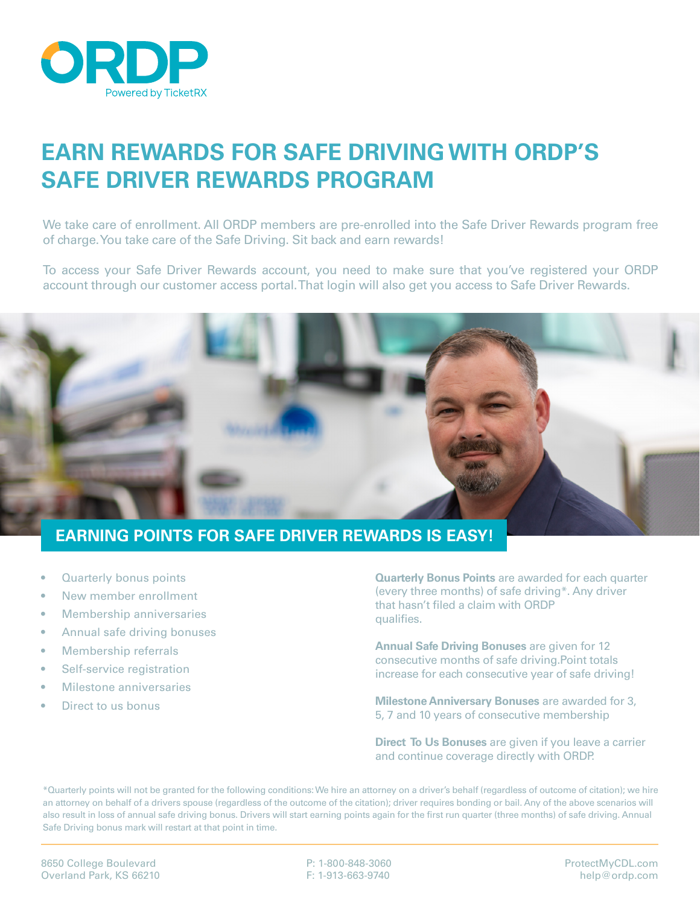

## **EARN REWARDS FOR SAFE DRIVING WITH ORDP'S SAFE DRIVER REWARDS PROGRAM**

We take care of enrollment. All ORDP members are pre-enrolled into the Safe Driver Rewards program free of charge. You take care of the Safe Driving. Sit back and earn rewards!

To access your Safe Driver Rewards account, you need to make sure that you've registered your ORDP account through our customer access portal. That login will also get you access to Safe Driver Rewards.



## **EARNING POINTS FOR SAFE DRIVER REWARDS IS EASY!**

- **Quarterly bonus points**
- New member enrollment
- Membership anniversaries
- Annual safe driving bonuses
- Membership referrals
- Self-service registration
- Milestone anniversaries
- Direct to us bonus

**Quarterly Bonus Points** are awarded for each quarter (every three months) of safe driving\*. Any driver that hasn't filed a claim with ORDP qualifies.

**Annual Safe Driving Bonuses** are given for 12 consecutive months of safe driving.Point totals increase for each consecutive year of safe driving!

**Milestone Anniversary Bonuses** are awarded for 3, 5, 7 and 10 years of consecutive membership

**Direct To Us Bonuses** are given if you leave a carrier and continue coverage directly with ORDP.

\*Quarterly points will not be granted for the following conditions: We hire an attorney on a driver's behalf (regardless of outcome of citation); we hire an attorney on behalf of a drivers spouse (regardless of the outcome of the citation); driver requires bonding or bail. Any of the above scenarios will also result in loss of annual safe driving bonus. Drivers will start earning points again for the first run quarter (three months) of safe driving. Annual Safe Driving bonus mark will restart at that point in time.

P: 1-800-848-3060 F: 1-913-663-9740